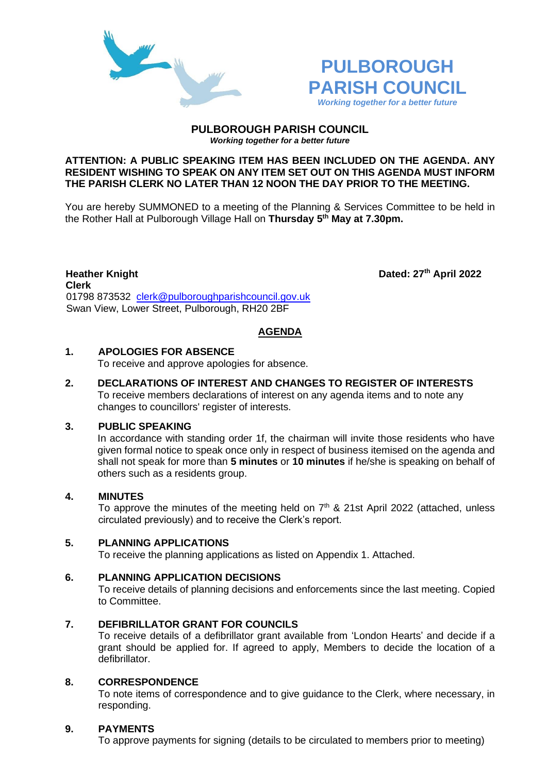



#### **PULBOROUGH PARISH COUNCIL** *Working together for a better future*

#### **ATTENTION: A PUBLIC SPEAKING ITEM HAS BEEN INCLUDED ON THE AGENDA. ANY RESIDENT WISHING TO SPEAK ON ANY ITEM SET OUT ON THIS AGENDA MUST INFORM THE PARISH CLERK NO LATER THAN 12 NOON THE DAY PRIOR TO THE MEETING.**

You are hereby SUMMONED to a meeting of the Planning & Services Committee to be held in the Rother Hall at Pulborough Village Hall on **Thursday 5 th May at 7.30pm.** 

**Heather Knight Dated: 27th April 2022 Clerk**  01798 873532 [clerk@pulboroughparishcouncil.gov.uk](mailto:clerk@pulboroughparishcouncil.gov.uk) Swan View, Lower Street, Pulborough, RH20 2BF

## **AGENDA**

# **1. APOLOGIES FOR ABSENCE**

To receive and approve apologies for absence.

**2. DECLARATIONS OF INTEREST AND CHANGES TO REGISTER OF INTERESTS** To receive members declarations of interest on any agenda items and to note any changes to councillors' register of interests.

## **3. PUBLIC SPEAKING**

In accordance with standing order 1f, the chairman will invite those residents who have given formal notice to speak once only in respect of business itemised on the agenda and shall not speak for more than **5 minutes** or **10 minutes** if he/she is speaking on behalf of others such as a residents group.

## **4. MINUTES**

To approve the minutes of the meeting held on  $7<sup>th</sup>$  & 21st April 2022 (attached, unless circulated previously) and to receive the Clerk's report.

## **5. PLANNING APPLICATIONS**

To receive the planning applications as listed on Appendix 1. Attached.

## **6. PLANNING APPLICATION DECISIONS**

To receive details of planning decisions and enforcements since the last meeting. Copied to Committee.

## **7. DEFIBRILLATOR GRANT FOR COUNCILS**

To receive details of a defibrillator grant available from 'London Hearts' and decide if a grant should be applied for. If agreed to apply, Members to decide the location of a defibrillator.

## **8. CORRESPONDENCE**

To note items of correspondence and to give guidance to the Clerk, where necessary, in responding.

# **9. PAYMENTS**

To approve payments for signing (details to be circulated to members prior to meeting)